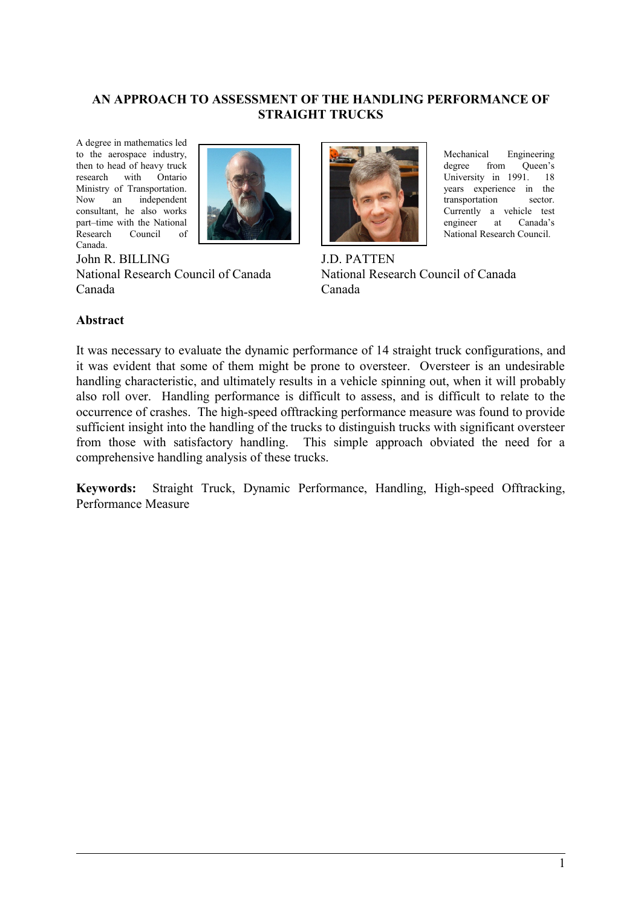#### **AN APPROACH TO ASSESSMENT OF THE HANDLING PERFORMANCE OF STRAIGHT TRUCKS**

A degree in mathematics led to the aerospace industry, then to head of heavy truck research with Ontario Ministry of Transportation. Now an independent consultant, he also works part–time with the National Research Council of Canada.



John R. BILLING National Research Council of Canada Canada



Mechanical Engineering degree from Oueen's University in 1991. 18 years experience in the transportation sector. Currently a vehicle test engineer at Canada's National Research Council.

J.D. PATTEN National Research Council of Canada Canada

#### **Abstract**

It was necessary to evaluate the dynamic performance of 14 straight truck configurations, and it was evident that some of them might be prone to oversteer. Oversteer is an undesirable handling characteristic, and ultimately results in a vehicle spinning out, when it will probably also roll over. Handling performance is difficult to assess, and is difficult to relate to the occurrence of crashes. The high-speed offtracking performance measure was found to provide sufficient insight into the handling of the trucks to distinguish trucks with significant oversteer from those with satisfactory handling. This simple approach obviated the need for a comprehensive handling analysis of these trucks.

**Keywords:** Straight Truck, Dynamic Performance, Handling, High-speed Offtracking, Performance Measure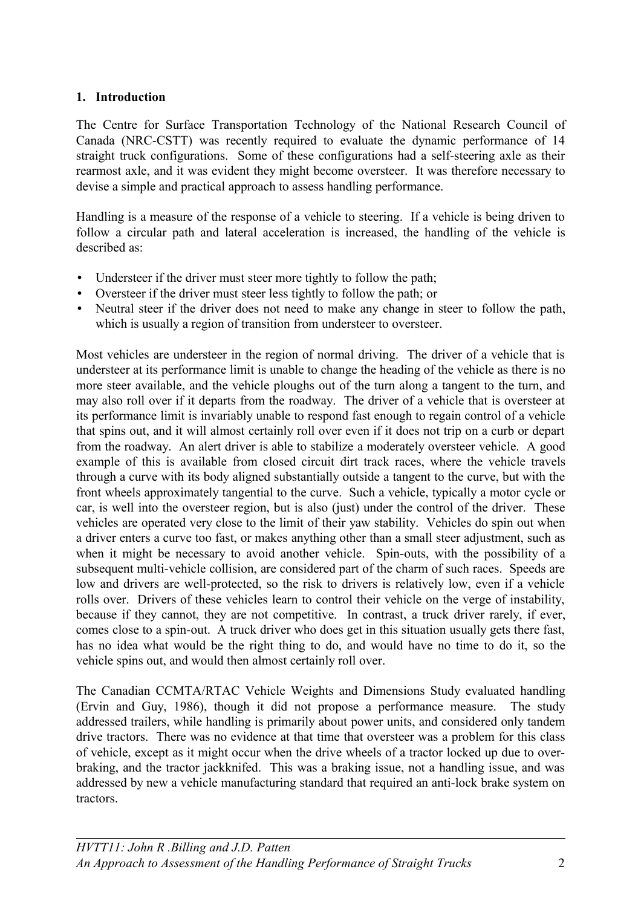### **1. Introduction**

The Centre for Surface Transportation Technology of the National Research Council of Canada (NRC-CSTT) was recently required to evaluate the dynamic performance of 14 straight truck configurations. Some of these configurations had a self-steering axle as their rearmost axle, and it was evident they might become oversteer. It was therefore necessary to devise a simple and practical approach to assess handling performance.

Handling is a measure of the response of a vehicle to steering. If a vehicle is being driven to follow a circular path and lateral acceleration is increased, the handling of the vehicle is described as:

- Understeer if the driver must steer more tightly to follow the path;
- Oversteer if the driver must steer less tightly to follow the path; or
- Neutral steer if the driver does not need to make any change in steer to follow the path, which is usually a region of transition from understeer to oversteer.

Most vehicles are understeer in the region of normal driving. The driver of a vehicle that is understeer at its performance limit is unable to change the heading of the vehicle as there is no more steer available, and the vehicle ploughs out of the turn along a tangent to the turn, and may also roll over if it departs from the roadway. The driver of a vehicle that is oversteer at its performance limit is invariably unable to respond fast enough to regain control of a vehicle that spins out, and it will almost certainly roll over even if it does not trip on a curb or depart from the roadway. An alert driver is able to stabilize a moderately oversteer vehicle. A good example of this is available from closed circuit dirt track races, where the vehicle travels through a curve with its body aligned substantially outside a tangent to the curve, but with the front wheels approximately tangential to the curve. Such a vehicle, typically a motor cycle or car, is well into the oversteer region, but is also (just) under the control of the driver. These vehicles are operated very close to the limit of their yaw stability. Vehicles do spin out when a driver enters a curve too fast, or makes anything other than a small steer adjustment, such as when it might be necessary to avoid another vehicle. Spin-outs, with the possibility of a subsequent multi-vehicle collision, are considered part of the charm of such races. Speeds are low and drivers are well-protected, so the risk to drivers is relatively low, even if a vehicle rolls over. Drivers of these vehicles learn to control their vehicle on the verge of instability, because if they cannot, they are not competitive. In contrast, a truck driver rarely, if ever, comes close to a spin-out. A truck driver who does get in this situation usually gets there fast, has no idea what would be the right thing to do, and would have no time to do it, so the vehicle spins out, and would then almost certainly roll over.

The Canadian CCMTA/RTAC Vehicle Weights and Dimensions Study evaluated handling (Ervin and Guy, 1986), though it did not propose a performance measure. The study addressed trailers, while handling is primarily about power units, and considered only tandem drive tractors. There was no evidence at that time that oversteer was a problem for this class of vehicle, except as it might occur when the drive wheels of a tractor locked up due to overbraking, and the tractor jackknifed. This was a braking issue, not a handling issue, and was addressed by new a vehicle manufacturing standard that required an anti-lock brake system on tractors.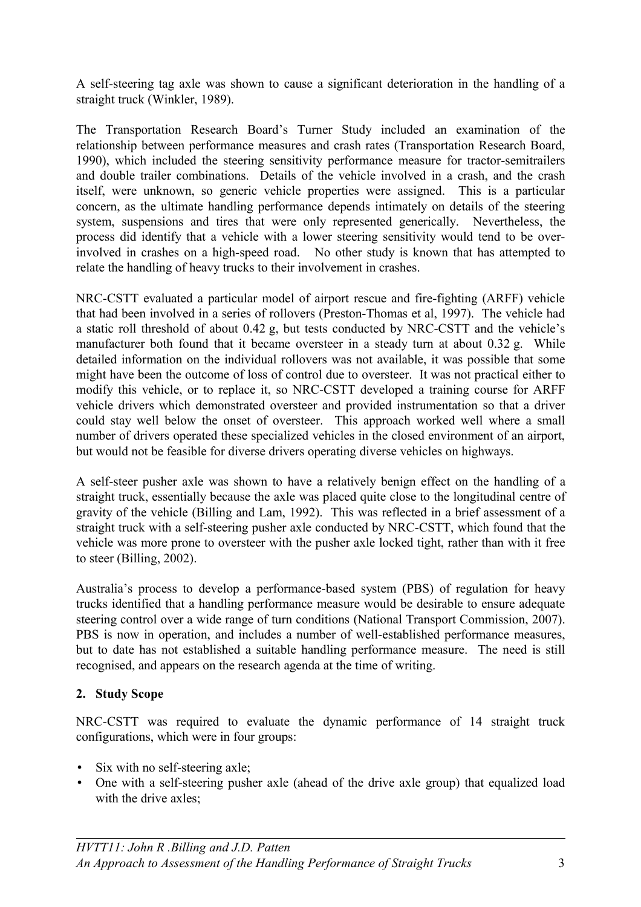A self-steering tag axle was shown to cause a significant deterioration in the handling of a straight truck (Winkler, 1989).

The Transportation Research Board's Turner Study included an examination of the relationship between performance measures and crash rates (Transportation Research Board, 1990), which included the steering sensitivity performance measure for tractor-semitrailers and double trailer combinations. Details of the vehicle involved in a crash, and the crash itself, were unknown, so generic vehicle properties were assigned. This is a particular concern, as the ultimate handling performance depends intimately on details of the steering system, suspensions and tires that were only represented generically. Nevertheless, the process did identify that a vehicle with a lower steering sensitivity would tend to be overinvolved in crashes on a high-speed road. No other study is known that has attempted to relate the handling of heavy trucks to their involvement in crashes.

NRC-CSTT evaluated a particular model of airport rescue and fire-fighting (ARFF) vehicle that had been involved in a series of rollovers (Preston-Thomas et al, 1997). The vehicle had a static roll threshold of about 0.42 g, but tests conducted by NRC-CSTT and the vehicle's manufacturer both found that it became oversteer in a steady turn at about 0.32 g. While detailed information on the individual rollovers was not available, it was possible that some might have been the outcome of loss of control due to oversteer. It was not practical either to modify this vehicle, or to replace it, so NRC-CSTT developed a training course for ARFF vehicle drivers which demonstrated oversteer and provided instrumentation so that a driver could stay well below the onset of oversteer. This approach worked well where a small number of drivers operated these specialized vehicles in the closed environment of an airport, but would not be feasible for diverse drivers operating diverse vehicles on highways.

A self-steer pusher axle was shown to have a relatively benign effect on the handling of a straight truck, essentially because the axle was placed quite close to the longitudinal centre of gravity of the vehicle (Billing and Lam, 1992). This was reflected in a brief assessment of a straight truck with a self-steering pusher axle conducted by NRC-CSTT, which found that the vehicle was more prone to oversteer with the pusher axle locked tight, rather than with it free to steer (Billing, 2002).

Australia's process to develop a performance-based system (PBS) of regulation for heavy trucks identified that a handling performance measure would be desirable to ensure adequate steering control over a wide range of turn conditions (National Transport Commission, 2007). PBS is now in operation, and includes a number of well-established performance measures, but to date has not established a suitable handling performance measure. The need is still recognised, and appears on the research agenda at the time of writing.

### **2. Study Scope**

NRC-CSTT was required to evaluate the dynamic performance of 14 straight truck configurations, which were in four groups:

- Six with no self-steering axle;
- One with a self-steering pusher axle (ahead of the drive axle group) that equalized load with the drive axles: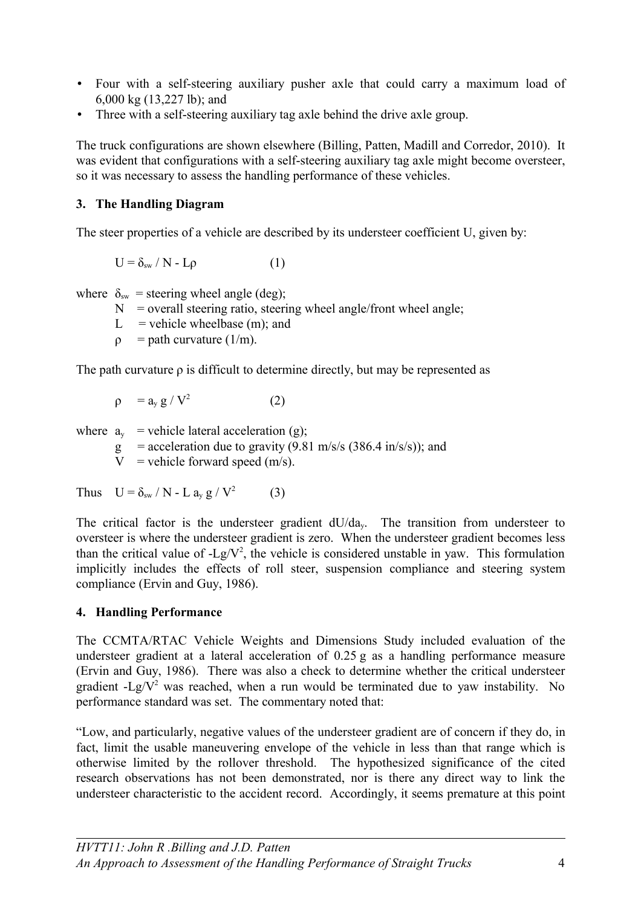- Four with a self-steering auxiliary pusher axle that could carry a maximum load of 6,000 kg (13,227 lb); and
- Three with a self-steering auxiliary tag axle behind the drive axle group.

The truck configurations are shown elsewhere (Billing, Patten, Madill and Corredor, 2010). It was evident that configurations with a self-steering auxiliary tag axle might become oversteer, so it was necessary to assess the handling performance of these vehicles.

## **3. The Handling Diagram**

The steer properties of a vehicle are described by its understeer coefficient U, given by:

 $U = \delta_{sw} / N - L\rho$  (1)

where  $\delta_{sw}$  = steering wheel angle (deg);

- $N =$  overall steering ratio, steering wheel angle/front wheel angle;
- L = vehicle wheelbase  $(m)$ ; and
- $\rho$  = path curvature (1/m).

The path curvature  $\rho$  is difficult to determine directly, but may be represented as

$$
\rho = a_y g / V^2 \qquad (2)
$$

where  $a_y$  = vehicle lateral acceleration (g);

g = acceleration due to gravity  $(9.81 \text{ m/s/s } (386.4 \text{ in/s/s}));$  and

 $V =$  vehicle forward speed (m/s).

Thus  $U = \delta_{sw} / N - L a_v g / V^2$ (3)

The critical factor is the understeer gradient dU/day. The transition from understeer to oversteer is where the understeer gradient is zero. When the understeer gradient becomes less than the critical value of  $-Lg/V^2$ , the vehicle is considered unstable in yaw. This formulation implicitly includes the effects of roll steer, suspension compliance and steering system compliance (Ervin and Guy, 1986).

# **4. Handling Performance**

The CCMTA/RTAC Vehicle Weights and Dimensions Study included evaluation of the understeer gradient at a lateral acceleration of 0.25 g as a handling performance measure (Ervin and Guy, 1986). There was also a check to determine whether the critical understeer gradient -Lg/ $V^2$  was reached, when a run would be terminated due to yaw instability. No performance standard was set. The commentary noted that:

"Low, and particularly, negative values of the understeer gradient are of concern if they do, in fact, limit the usable maneuvering envelope of the vehicle in less than that range which is otherwise limited by the rollover threshold. The hypothesized significance of the cited research observations has not been demonstrated, nor is there any direct way to link the understeer characteristic to the accident record. Accordingly, it seems premature at this point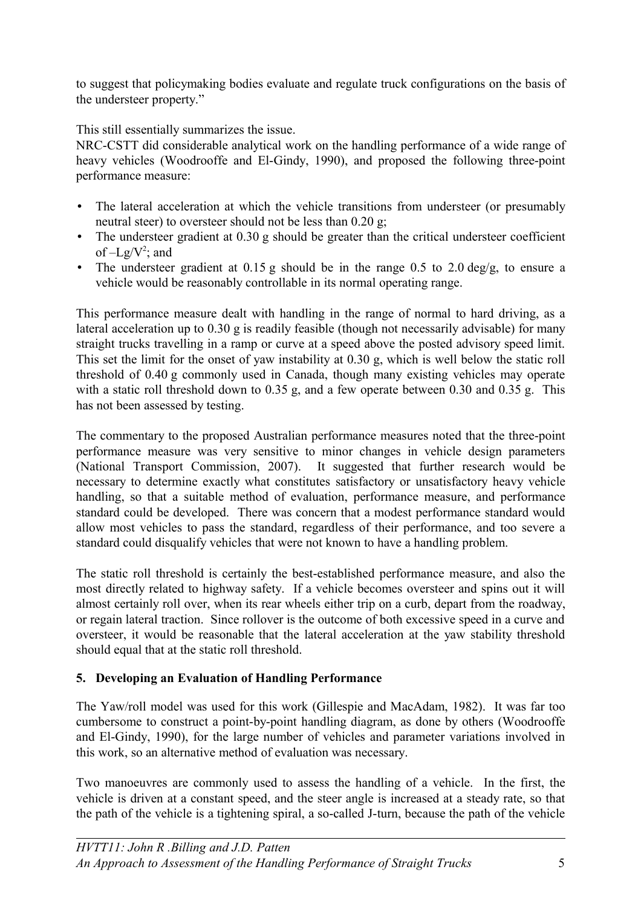to suggest that policymaking bodies evaluate and regulate truck configurations on the basis of the understeer property."

This still essentially summarizes the issue.

NRC-CSTT did considerable analytical work on the handling performance of a wide range of heavy vehicles (Woodrooffe and El-Gindy, 1990), and proposed the following three-point performance measure:

- The lateral acceleration at which the vehicle transitions from understeer (or presumably neutral steer) to oversteer should not be less than 0.20 g;
- The understeer gradient at 0.30 g should be greater than the critical understeer coefficient of  $-Lg/V^2$ ; and
- The understeer gradient at  $0.15$  g should be in the range  $0.5$  to  $2.0$  deg/g, to ensure a vehicle would be reasonably controllable in its normal operating range.

This performance measure dealt with handling in the range of normal to hard driving, as a lateral acceleration up to 0.30 g is readily feasible (though not necessarily advisable) for many straight trucks travelling in a ramp or curve at a speed above the posted advisory speed limit. This set the limit for the onset of yaw instability at 0.30 g, which is well below the static roll threshold of 0.40 g commonly used in Canada, though many existing vehicles may operate with a static roll threshold down to 0.35 g, and a few operate between 0.30 and 0.35 g. This has not been assessed by testing.

The commentary to the proposed Australian performance measures noted that the three-point performance measure was very sensitive to minor changes in vehicle design parameters (National Transport Commission, 2007). It suggested that further research would be necessary to determine exactly what constitutes satisfactory or unsatisfactory heavy vehicle handling, so that a suitable method of evaluation, performance measure, and performance standard could be developed. There was concern that a modest performance standard would allow most vehicles to pass the standard, regardless of their performance, and too severe a standard could disqualify vehicles that were not known to have a handling problem.

The static roll threshold is certainly the best-established performance measure, and also the most directly related to highway safety. If a vehicle becomes oversteer and spins out it will almost certainly roll over, when its rear wheels either trip on a curb, depart from the roadway, or regain lateral traction. Since rollover is the outcome of both excessive speed in a curve and oversteer, it would be reasonable that the lateral acceleration at the yaw stability threshold should equal that at the static roll threshold.

# **5. Developing an Evaluation of Handling Performance**

The Yaw/roll model was used for this work (Gillespie and MacAdam, 1982). It was far too cumbersome to construct a point-by-point handling diagram, as done by others (Woodrooffe and El-Gindy, 1990), for the large number of vehicles and parameter variations involved in this work, so an alternative method of evaluation was necessary.

Two manoeuvres are commonly used to assess the handling of a vehicle. In the first, the vehicle is driven at a constant speed, and the steer angle is increased at a steady rate, so that the path of the vehicle is a tightening spiral, a so-called J-turn, because the path of the vehicle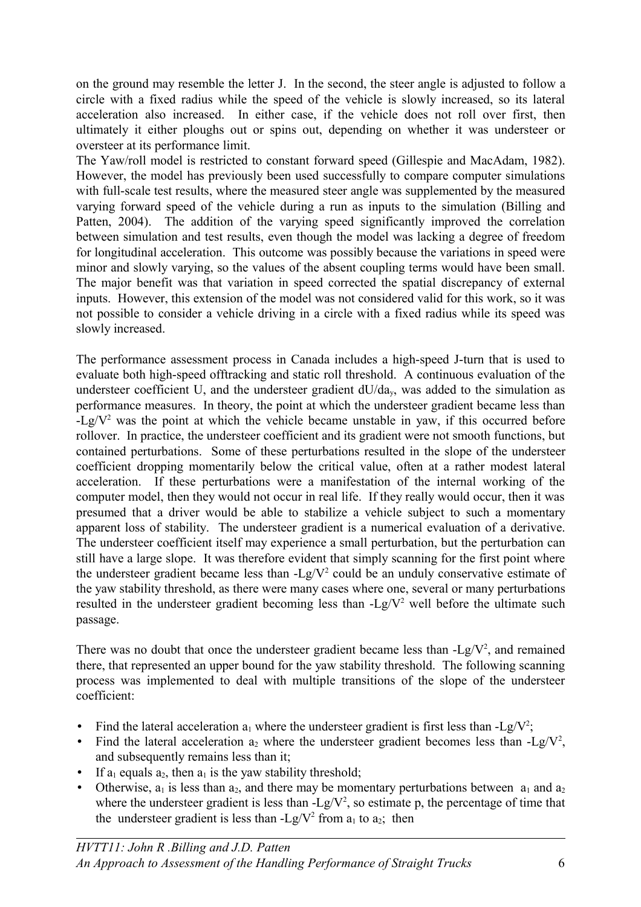on the ground may resemble the letter J. In the second, the steer angle is adjusted to follow a circle with a fixed radius while the speed of the vehicle is slowly increased, so its lateral acceleration also increased. In either case, if the vehicle does not roll over first, then ultimately it either ploughs out or spins out, depending on whether it was understeer or oversteer at its performance limit.

The Yaw/roll model is restricted to constant forward speed (Gillespie and MacAdam, 1982). However, the model has previously been used successfully to compare computer simulations with full-scale test results, where the measured steer angle was supplemented by the measured varying forward speed of the vehicle during a run as inputs to the simulation (Billing and Patten, 2004). The addition of the varying speed significantly improved the correlation between simulation and test results, even though the model was lacking a degree of freedom for longitudinal acceleration. This outcome was possibly because the variations in speed were minor and slowly varying, so the values of the absent coupling terms would have been small. The major benefit was that variation in speed corrected the spatial discrepancy of external inputs. However, this extension of the model was not considered valid for this work, so it was not possible to consider a vehicle driving in a circle with a fixed radius while its speed was slowly increased.

The performance assessment process in Canada includes a high-speed J-turn that is used to evaluate both high-speed offtracking and static roll threshold. A continuous evaluation of the understeer coefficient U, and the understeer gradient  $dU/da_v$ , was added to the simulation as performance measures. In theory, the point at which the understeer gradient became less than  $-Lg/V<sup>2</sup>$  was the point at which the vehicle became unstable in yaw, if this occurred before rollover. In practice, the understeer coefficient and its gradient were not smooth functions, but contained perturbations. Some of these perturbations resulted in the slope of the understeer coefficient dropping momentarily below the critical value, often at a rather modest lateral acceleration. If these perturbations were a manifestation of the internal working of the computer model, then they would not occur in real life. If they really would occur, then it was presumed that a driver would be able to stabilize a vehicle subject to such a momentary apparent loss of stability. The understeer gradient is a numerical evaluation of a derivative. The understeer coefficient itself may experience a small perturbation, but the perturbation can still have a large slope. It was therefore evident that simply scanning for the first point where the understeer gradient became less than  $-Lg/V^2$  could be an unduly conservative estimate of the yaw stability threshold, as there were many cases where one, several or many perturbations resulted in the understeer gradient becoming less than  $-Lg/V^2$  well before the ultimate such passage.

There was no doubt that once the understeer gradient became less than  $-Lg/V^2$ , and remained there, that represented an upper bound for the yaw stability threshold. The following scanning process was implemented to deal with multiple transitions of the slope of the understeer coefficient:

- Find the lateral acceleration  $a_1$  where the understeer gradient is first less than -Lg/V<sup>2</sup>;
- Find the lateral acceleration  $a_2$  where the understeer gradient becomes less than -Lg/V<sup>2</sup>, and subsequently remains less than it;
- If  $a_1$  equals  $a_2$ , then  $a_1$  is the yaw stability threshold;
- Otherwise,  $a_1$  is less than  $a_2$ , and there may be momentary perturbations between  $a_1$  and  $a_2$ where the understeer gradient is less than  $-Lg/V^2$ , so estimate p, the percentage of time that the understeer gradient is less than  $-Lg/V^2$  from  $a_1$  to  $a_2$ ; then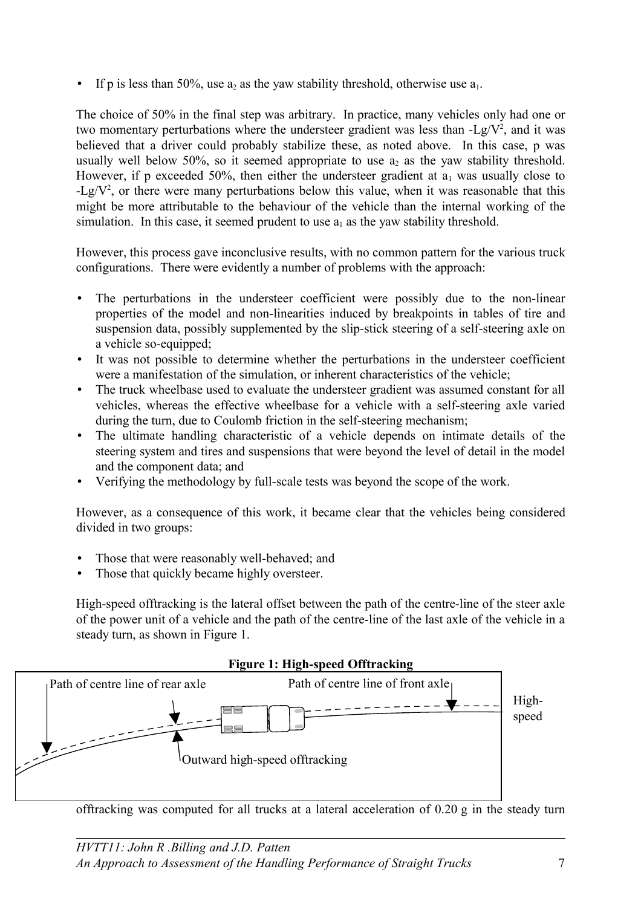• If p is less than 50%, use  $a_2$  as the yaw stability threshold, otherwise use  $a_1$ .

The choice of 50% in the final step was arbitrary. In practice, many vehicles only had one or two momentary perturbations where the understeer gradient was less than  $-Lg/V^2$ , and it was believed that a driver could probably stabilize these, as noted above. In this case, p was usually well below 50%, so it seemed appropriate to use  $a_2$  as the yaw stability threshold. However, if p exceeded 50%, then either the understeer gradient at  $a_1$  was usually close to  $-Lg/V^2$ , or there were many perturbations below this value, when it was reasonable that this might be more attributable to the behaviour of the vehicle than the internal working of the simulation. In this case, it seemed prudent to use  $a_1$  as the yaw stability threshold.

However, this process gave inconclusive results, with no common pattern for the various truck configurations. There were evidently a number of problems with the approach:

- The perturbations in the understeer coefficient were possibly due to the non-linear properties of the model and non-linearities induced by breakpoints in tables of tire and suspension data, possibly supplemented by the slip-stick steering of a self-steering axle on a vehicle so-equipped;
- It was not possible to determine whether the perturbations in the understeer coefficient were a manifestation of the simulation, or inherent characteristics of the vehicle;
- The truck wheelbase used to evaluate the understeer gradient was assumed constant for all vehicles, whereas the effective wheelbase for a vehicle with a self-steering axle varied during the turn, due to Coulomb friction in the self-steering mechanism;
- The ultimate handling characteristic of a vehicle depends on intimate details of the steering system and tires and suspensions that were beyond the level of detail in the model and the component data; and
- Verifying the methodology by full-scale tests was beyond the scope of the work.

However, as a consequence of this work, it became clear that the vehicles being considered divided in two groups:

- Those that were reasonably well-behaved; and
- Those that quickly became highly oversteer.

<span id="page-6-0"></span>High-speed offtracking is the lateral offset between the path of the centre-line of the steer axle of the power unit of a vehicle and the path of the centre-line of the last axle of the vehicle in a steady turn, as shown in [Figure 1.](#page-6-0)



offtracking was computed for all trucks at a lateral acceleration of 0.20 g in the steady turn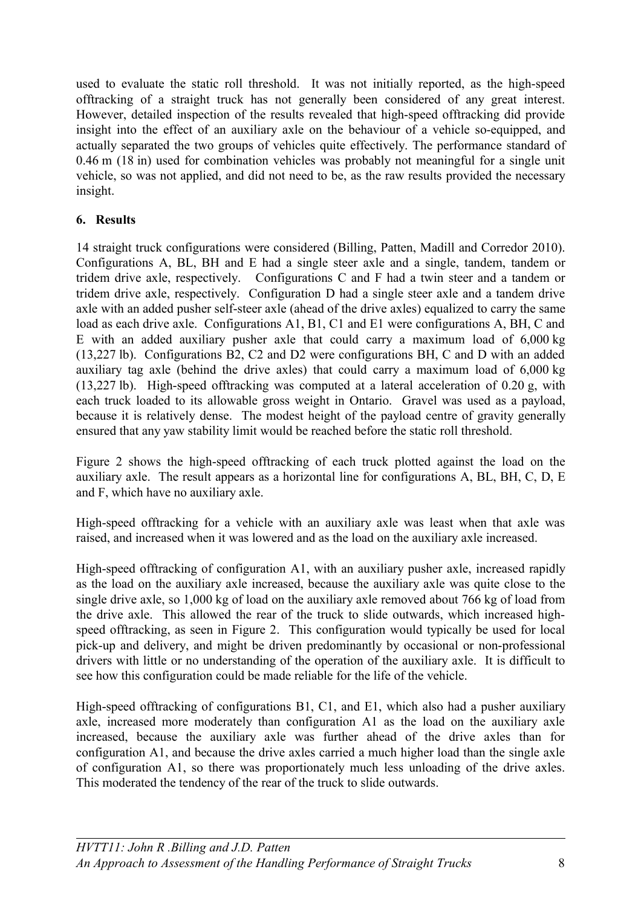used to evaluate the static roll threshold. It was not initially reported, as the high-speed offtracking of a straight truck has not generally been considered of any great interest. However, detailed inspection of the results revealed that high-speed offtracking did provide insight into the effect of an auxiliary axle on the behaviour of a vehicle so-equipped, and actually separated the two groups of vehicles quite effectively. The performance standard of 0.46 m (18 in) used for combination vehicles was probably not meaningful for a single unit vehicle, so was not applied, and did not need to be, as the raw results provided the necessary insight.

### **6. Results**

14 straight truck configurations were considered (Billing, Patten, Madill and Corredor 2010). Configurations A, BL, BH and E had a single steer axle and a single, tandem, tandem or tridem drive axle, respectively. Configurations C and F had a twin steer and a tandem or tridem drive axle, respectively. Configuration D had a single steer axle and a tandem drive axle with an added pusher self-steer axle (ahead of the drive axles) equalized to carry the same load as each drive axle. Configurations A1, B1, C1 and E1 were configurations A, BH, C and E with an added auxiliary pusher axle that could carry a maximum load of 6,000 kg (13,227 lb). Configurations B2, C2 and D2 were configurations BH, C and D with an added auxiliary tag axle (behind the drive axles) that could carry a maximum load of 6,000 kg (13,227 lb). High-speed offtracking was computed at a lateral acceleration of 0.20 g, with each truck loaded to its allowable gross weight in Ontario. Gravel was used as a payload, because it is relatively dense. The modest height of the payload centre of gravity generally ensured that any yaw stability limit would be reached before the static roll threshold.

[Figure 2](#page-8-0) shows the high-speed offtracking of each truck plotted against the load on the auxiliary axle. The result appears as a horizontal line for configurations A, BL, BH, C, D, E and F, which have no auxiliary axle.

High-speed offtracking for a vehicle with an auxiliary axle was least when that axle was raised, and increased when it was lowered and as the load on the auxiliary axle increased.

High-speed offtracking of configuration A1, with an auxiliary pusher axle, increased rapidly as the load on the auxiliary axle increased, because the auxiliary axle was quite close to the single drive axle, so 1,000 kg of load on the auxiliary axle removed about 766 kg of load from the drive axle. This allowed the rear of the truck to slide outwards, which increased highspeed offtracking, as seen in [Figure 2.](#page-8-0) This configuration would typically be used for local pick-up and delivery, and might be driven predominantly by occasional or non-professional drivers with little or no understanding of the operation of the auxiliary axle. It is difficult to see how this configuration could be made reliable for the life of the vehicle.

High-speed offtracking of configurations B1, C1, and E1, which also had a pusher auxiliary axle, increased more moderately than configuration A1 as the load on the auxiliary axle increased, because the auxiliary axle was further ahead of the drive axles than for configuration A1, and because the drive axles carried a much higher load than the single axle of configuration A1, so there was proportionately much less unloading of the drive axles. This moderated the tendency of the rear of the truck to slide outwards.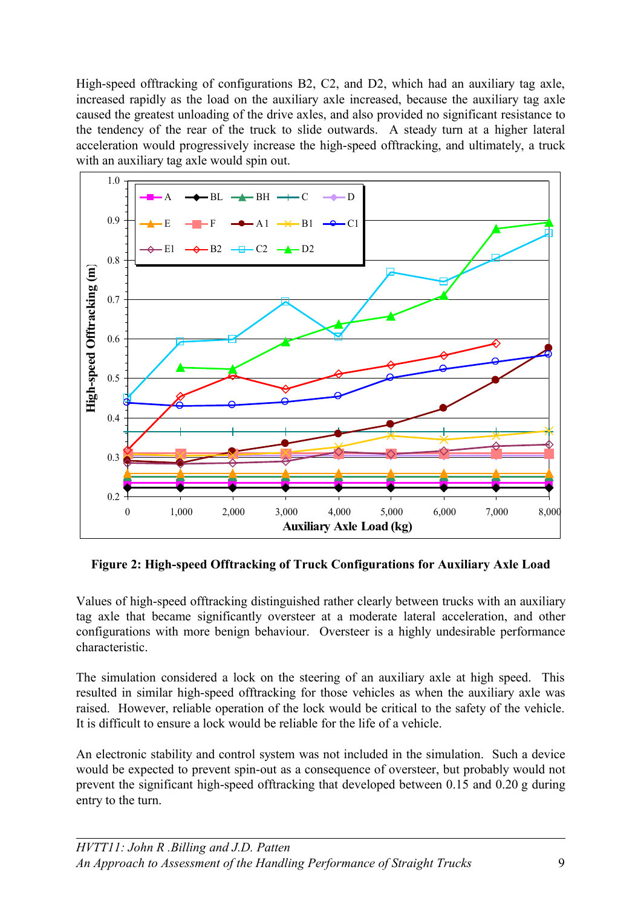High-speed offtracking of configurations B2, C2, and D2, which had an auxiliary tag axle, increased rapidly as the load on the auxiliary axle increased, because the auxiliary tag axle caused the greatest unloading of the drive axles, and also provided no significant resistance to the tendency of the rear of the truck to slide outwards. A steady turn at a higher lateral acceleration would progressively increase the high-speed offtracking, and ultimately, a truck with an auxiliary tag axle would spin out.



<span id="page-8-0"></span>**Figure 2: High-speed Offtracking of Truck Configurations for Auxiliary Axle Load**

Values of high-speed offtracking distinguished rather clearly between trucks with an auxiliary tag axle that became significantly oversteer at a moderate lateral acceleration, and other configurations with more benign behaviour. Oversteer is a highly undesirable performance characteristic.

The simulation considered a lock on the steering of an auxiliary axle at high speed. This resulted in similar high-speed offtracking for those vehicles as when the auxiliary axle was raised. However, reliable operation of the lock would be critical to the safety of the vehicle. It is difficult to ensure a lock would be reliable for the life of a vehicle.

An electronic stability and control system was not included in the simulation. Such a device would be expected to prevent spin-out as a consequence of oversteer, but probably would not prevent the significant high-speed offtracking that developed between 0.15 and 0.20 g during entry to the turn.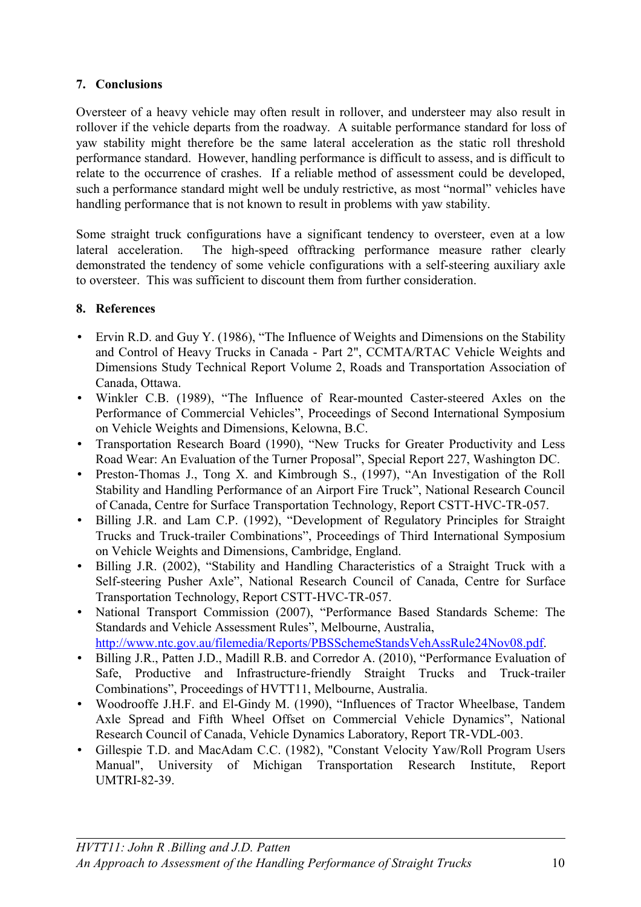# **7. Conclusions**

Oversteer of a heavy vehicle may often result in rollover, and understeer may also result in rollover if the vehicle departs from the roadway. A suitable performance standard for loss of yaw stability might therefore be the same lateral acceleration as the static roll threshold performance standard. However, handling performance is difficult to assess, and is difficult to relate to the occurrence of crashes. If a reliable method of assessment could be developed, such a performance standard might well be unduly restrictive, as most "normal" vehicles have handling performance that is not known to result in problems with yaw stability.

Some straight truck configurations have a significant tendency to oversteer, even at a low lateral acceleration. The high-speed offtracking performance measure rather clearly demonstrated the tendency of some vehicle configurations with a self-steering auxiliary axle to oversteer. This was sufficient to discount them from further consideration.

### **8. References**

- Ervin R.D. and Guy Y. (1986), "The Influence of Weights and Dimensions on the Stability and Control of Heavy Trucks in Canada - Part 2", CCMTA/RTAC Vehicle Weights and Dimensions Study Technical Report Volume 2, Roads and Transportation Association of Canada, Ottawa.
- Winkler C.B. (1989), "The Influence of Rear-mounted Caster-steered Axles on the Performance of Commercial Vehicles", Proceedings of Second International Symposium on Vehicle Weights and Dimensions, Kelowna, B.C.
- Transportation Research Board (1990), "New Trucks for Greater Productivity and Less Road Wear: An Evaluation of the Turner Proposal", Special Report 227, Washington DC.
- Preston-Thomas J., Tong X. and Kimbrough S., (1997), "An Investigation of the Roll Stability and Handling Performance of an Airport Fire Truck", National Research Council of Canada, Centre for Surface Transportation Technology, Report CSTT-HVC-TR-057.
- Billing J.R. and Lam C.P. (1992), "Development of Regulatory Principles for Straight Trucks and Truck-trailer Combinations", Proceedings of Third International Symposium on Vehicle Weights and Dimensions, Cambridge, England.
- Billing J.R. (2002), "Stability and Handling Characteristics of a Straight Truck with a Self-steering Pusher Axle", National Research Council of Canada, Centre for Surface Transportation Technology, Report CSTT-HVC-TR-057.
- National Transport Commission (2007), "Performance Based Standards Scheme: The Standards and Vehicle Assessment Rules", Melbourne, Australia, [http://www.ntc.gov.au/filemedia/Reports/PBSSchemeStandsVehAssRule24Nov08.pdf.](http://www.ntc.gov.au/filemedia/Reports/PBSSchemeStandsVehAssRule24Nov08.pdf)
- Billing J.R., Patten J.D., Madill R.B. and Corredor A. (2010), "Performance Evaluation of
- Safe, Productive and Infrastructure-friendly Straight Trucks and Truck-trailer Combinations", Proceedings of HVTT11, Melbourne, Australia.
- Woodrooffe J.H.F. and El-Gindy M. (1990), "Influences of Tractor Wheelbase, Tandem Axle Spread and Fifth Wheel Offset on Commercial Vehicle Dynamics", National Research Council of Canada, Vehicle Dynamics Laboratory, Report TR-VDL-003.
- Gillespie T.D. and MacAdam C.C. (1982), "Constant Velocity Yaw/Roll Program Users Manual", University of Michigan Transportation Research Institute, Report UMTRI-82-39.